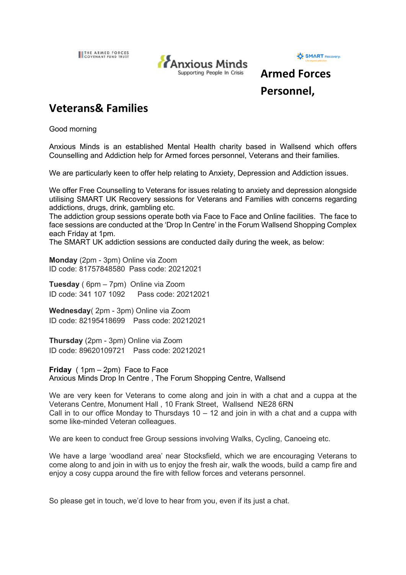IL THE ARMED FORCES





## **Armed Forces Personnel,**

## **Veterans& Families**

Good morning

Anxious Minds is an established Mental Health charity based in Wallsend which offers Counselling and Addiction help for Armed forces personnel, Veterans and their families.

We are particularly keen to offer help relating to Anxiety, Depression and Addiction issues.

We offer Free Counselling to Veterans for issues relating to anxiety and depression alongside utilising SMART UK Recovery sessions for Veterans and Families with concerns regarding addictions, drugs, drink, gambling etc.

The addiction group sessions operate both via Face to Face and Online facilities. The face to face sessions are conducted at the 'Drop In Centre' in the Forum Wallsend Shopping Complex each Friday at 1pm.

The SMART UK addiction sessions are conducted daily during the week, as below:

**Monday** (2pm - 3pm) Online via Zoom ID code: 81757848580 Pass code: 20212021

**Tuesday** ( 6pm – 7pm) Online via Zoom ID code: 341 107 1092 Pass code: 20212021

**Wednesday**( 2pm - 3pm) Online via Zoom ID code: 82195418699 Pass code: 20212021

**Thursday** (2pm - 3pm) Online via Zoom ID code: 89620109721 Pass code: 20212021

**Friday** ( 1pm – 2pm) Face to Face Anxious Minds Drop In Centre , The Forum Shopping Centre, Wallsend

We are very keen for Veterans to come along and join in with a chat and a cuppa at the Veterans Centre, Monument Hall , 10 Frank Street, Wallsend NE28 6RN Call in to our office Monday to Thursdays  $10 - 12$  and join in with a chat and a cuppa with some like-minded Veteran colleagues.

We are keen to conduct free Group sessions involving Walks, Cycling, Canoeing etc.

We have a large 'woodland area' near Stocksfield, which we are encouraging Veterans to come along to and join in with us to enjoy the fresh air, walk the woods, build a camp fire and enjoy a cosy cuppa around the fire with fellow forces and veterans personnel.

So please get in touch, we'd love to hear from you, even if its just a chat.